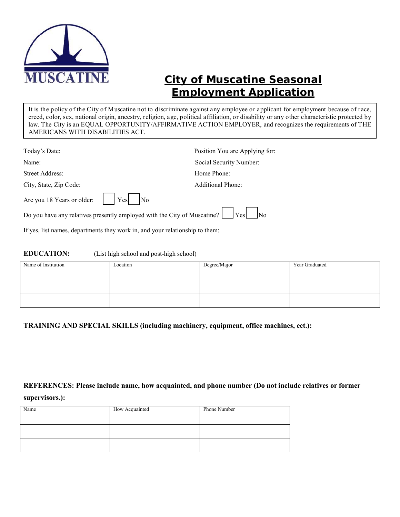

# **City of Muscatine** *Seasonal* **Employment Application**

It is the policy of the City of Muscatine not to discriminate against any employee or applicant for employment because of race, creed, color, sex, national origin, ancestry, religion, age, political affiliation, or disability or any other characteristic protected by law. The City is an EQUAL OPPORTUNITY/AFFIRMATIVE ACTION EMPLOYER, and recognizes the requirements of THE AMERICANS WITH DISABILITIES ACT.

| Today's Date:                                                                                        |  | Position You are Applying for:                                                                |
|------------------------------------------------------------------------------------------------------|--|-----------------------------------------------------------------------------------------------|
| Name:                                                                                                |  | Social Security Number:                                                                       |
| Street Address:<br>Home Phone:                                                                       |  |                                                                                               |
| City, State, Zip Code:                                                                               |  | <b>Additional Phone:</b>                                                                      |
| Are you 18 Years or older: $\begin{vmatrix} \n\end{vmatrix}$ Yes $\begin{vmatrix} N_0 \end{vmatrix}$ |  |                                                                                               |
|                                                                                                      |  | Do you have any relatives presently employed with the City of Muscatine? $\Box$ Yes $\Box$ No |

If yes, list names, departments they work in, and your relationship to them:

#### **EDUCATION:** (List high school and post-high school)

| Name of Institution | Location | Degree/Major | Year Graduated |
|---------------------|----------|--------------|----------------|
|                     |          |              |                |
|                     |          |              |                |

**TRAINING AND SPECIAL SKILLS (including machinery, equipment, office machines, ect.):** 

# **REFERENCES: Please include name, how acquainted, and phone number (Do not include relatives or former**

#### **supervisors.):**

| Name | How Acquainted | Phone Number |
|------|----------------|--------------|
|      |                |              |
|      |                |              |
|      |                |              |
|      |                |              |
|      |                |              |